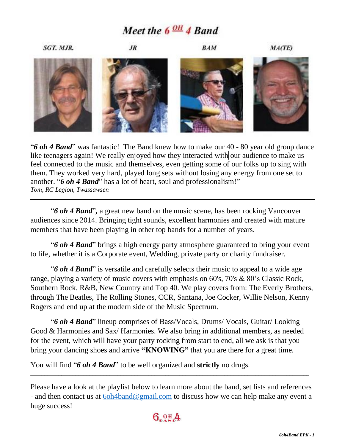# Meet the  $6 \frac{OH}{4}$  Band



"*6 oh 4 Band*" was fantastic! The Band knew how to make our 40 - 80 year old group dance like teenagers again! We really enjoyed how they interacted with our audience to make us feel connected to the music and themselves, even getting some of our folks up to sing with them. They worked very hard, played long sets without losing any energy from one set to another. "*6 oh 4 Band*" has a lot of heart, soul and professionalism!" *Tom, RC Legion, Twassawsen*

"*6 oh 4 Band*"*,* a great new band on the music scene, has been rocking Vancouver audiences since 2014. Bringing tight sounds, excellent harmonies and created with mature members that have been playing in other top bands for a number of years.

"*6 oh 4 Band*" brings a high energy party atmosphere guaranteed to bring your event to life, whether it is a Corporate event, Wedding, private party or charity fundraiser.

"*6 oh 4 Band*" is versatile and carefully selects their music to appeal to a wide age range, playing a variety of music covers with emphasis on 60's, 70's & 80's Classic Rock, Southern Rock, R&B, New Country and Top 40. We play covers from: The Everly Brothers, through The Beatles, The Rolling Stones, CCR, Santana, Joe Cocker, Willie Nelson, Kenny Rogers and end up at the modern side of the Music Spectrum.

"*6 oh 4 Band*" lineup comprises of Bass/Vocals, Drums/ Vocals, Guitar/ Looking Good & Harmonies and Sax/ Harmonies. We also bring in additional members, as needed for the event, which will have your party rocking from start to end, all we ask is that you bring your dancing shoes and arrive **"KNOWING"** that you are there for a great time.

You will find "*6 oh 4 Band*" to be well organized and **strictly** no drugs.

 $\_$  , and the set of the set of the set of the set of the set of the set of the set of the set of the set of the set of the set of the set of the set of the set of the set of the set of the set of the set of the set of th



Please have a look at the playlist below to learn more about the band, set lists and references - and then contact us at  $6$ oh $4$ band@gmail.com to discuss how we can help make any event a huge success!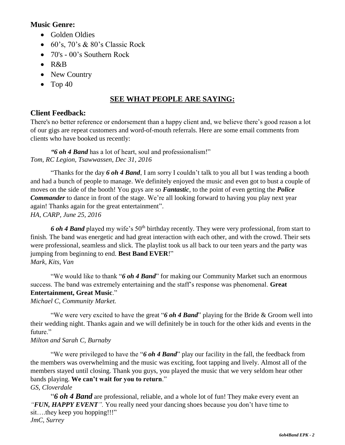### **Music Genre:**

- Golden Oldies
- $\bullet$  60's, 70's & 80's Classic Rock
- 70's 00's Southern Rock
- $\bullet$  R&B
- New Country
- $\bullet$  Top 40

## **SEE WHAT PEOPLE ARE SAYING:**

### **Client Feedback:**

There's no better reference or endorsement than a happy client and, we believe there's good reason a lot of our gigs are repeat customers and word-of-mouth referrals. Here are some email comments from clients who have booked us recently:

*"6 oh 4 Band* has a lot of heart, soul and professionalism!" *Tom, RC Legion, Tsawwassen, Dec 31, 2016*

"Thanks for the day *6 oh 4 Band*, I am sorry I couldn't talk to you all but I was tending a booth and had a bunch of people to manage. We definitely enjoyed the music and even got to bust a couple of moves on the side of the booth! You guys are so *Fantastic*, to the point of even getting the *Police Commander* to dance in front of the stage. We're all looking forward to having you play next year again! Thanks again for the great entertainment". *HA, CARP, June 25, 2016*

6 *oh 4 Band* played my wife's 50<sup>th</sup> birthday recently. They were very professional, from start to finish. The band was energetic and had great interaction with each other, and with the crowd. Their sets were professional, seamless and slick. The playlist took us all back to our teen years and the party was jumping from beginning to end. **Best Band EVER**!" *Mark, Kits, Van*

"We would like to thank "*6 oh 4 Band*" for making our Community Market such an enormous success. The band was extremely entertaining and the staff's response was phenomenal. **Great Entertainment, Great Music**."

*Michael C, Community Market.*

"We were very excited to have the great "*6 oh 4 Band*" playing for the Bride & Groom well into their wedding night. Thanks again and we will definitely be in touch for the other kids and events in the future."

### *Milton and Sarah C, Burnaby*

"We were privileged to have the "*6 oh 4 Band*" play our facility in the fall, the feedback from the members was overwhelming and the music was exciting, foot tapping and lively. Almost all of the members stayed until closing. Thank you guys, you played the music that we very seldom hear other bands playing. **We can't wait for you to return**."

### *GS, Cloverdale*

"*6 oh 4 Band* are professional, reliable, and a whole lot of fun! They make every event an *"FUN, HAPPY EVENT".* You really need your dancing shoes because you don't have time to sit....they keep you hopping!!!" *JmC, Surrey*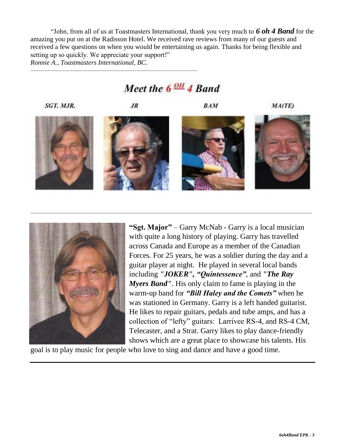"John, from all of us at Toastmasters International, thank you very much to *6 oh 4 Band* for the amazing you put on at the Radisson Hotel. We received rave reviews from many of our guests and received a few questions on when you would be entertaining us again. Thanks for being flexible and setting up so quickly. We appreciate your support!" *Ronnie A., Toastmasters International, BC.*

## Meet the  $6 \frac{\text{OH}}{\text{H}}$  4 Band

\_\_\_\_\_\_\_\_\_\_\_\_\_\_\_\_\_\_\_\_\_\_\_\_\_\_\_\_\_\_\_\_\_\_\_\_\_\_\_\_\_\_\_\_\_\_\_\_\_\_\_\_\_\_\_\_\_\_\_\_\_\_\_\_\_\_\_\_\_\_\_\_\_\_\_\_\_\_\_\_\_\_\_\_\_\_\_\_\_\_\_\_\_\_\_\_\_\_\_\_\_\_\_\_\_\_\_\_\_\_\_\_\_\_\_\_\_\_\_\_\_\_\_\_\_

SGT. MJR.

**JR** 

\_\_\_\_\_\_\_\_\_\_\_\_\_\_\_\_\_\_\_\_\_\_\_\_\_\_\_\_\_\_\_\_\_\_\_\_\_\_\_\_\_\_\_\_\_\_\_\_\_\_\_\_\_\_\_\_\_\_\_\_\_\_\_\_\_\_\_\_\_\_\_\_\_\_

**BAM** 

MA(TE)











**"Sgt. Major"** – Garry McNab - Garry is a local musician with quite a long history of playing. Garry has travelled across Canada and Europe as a member of the Canadian Forces. For 25 years, he was a soldier during the day and a guitar player at night. He played in several local bands including *"JOKER", "Quintessence"*, and *"The Ray Myers Band"*. His only claim to fame is playing in the warm-up band for *"Bill Haley and the Comets"* when he was stationed in Germany. Garry is a left handed guitarist. He likes to repair guitars, pedals and tube amps, and has a collection of "lefty" guitars: Larrivee RS-4, and RS-4 CM, Telecaster, and a Strat. Garry likes to play dance-friendly shows which are a great place to showcase his talents. His

goal is to play music for people who love to sing and dance and have a good time.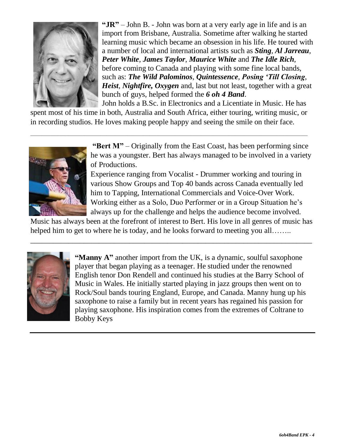

**"JR"** – John B. - John was born at a very early age in life and is an import from Brisbane, Australia. Sometime after walking he started learning music which became an obsession in his life. He toured with a number of local and international artists such as *Sting*, *Al Jarreau*, *Peter White*, *James Taylor*, *Maurice White* and *The Idle Rich*, before coming to Canada and playing with some fine local bands, such as: *The Wild Palominos*, *Quintessence*, *Posing 'Till Closing*, *Heist*, *Nightfire, Oxygen* and, last but not least, together with a great bunch of guys, helped formed the *6 oh 4 Band*.

John holds a B.Sc. in Electronics and a Licentiate in Music. He has spent most of his time in both, Australia and South Africa, either touring, writing music, or in recording studios. He loves making people happy and seeing the smile on their face.

 $\_$  , and the set of the set of the set of the set of the set of the set of the set of the set of the set of the set of the set of the set of the set of the set of the set of the set of the set of the set of the set of th



**"Bert M"** – Originally from the East Coast, has been performing since he was a youngster. Bert has always managed to be involved in a variety of Productions.

Experience ranging from Vocalist - Drummer working and touring in various Show Groups and Top 40 bands across Canada eventually led him to Tapping, International Commercials and Voice-Over Work. Working either as a Solo, Duo Performer or in a Group Situation he's always up for the challenge and helps the audience become involved.

Music has always been at the forefront of interest to Bert. His love in all genres of music has helped him to get to where he is today, and he looks forward to meeting you all……..

\_\_\_\_\_\_\_\_\_\_\_\_\_\_\_\_\_\_\_\_\_\_\_\_\_\_\_\_\_\_\_\_\_\_\_\_\_\_\_\_\_\_\_\_\_\_\_\_\_\_\_\_\_\_\_\_\_\_\_\_\_\_\_\_\_\_\_\_\_\_\_\_\_\_



**"Manny A"** another import from the UK, is a dynamic, soulful saxophone player that began playing as a teenager. He studied under the renowned English tenor Don Rendell and continued his studies at the Barry School of Music in Wales. He initially started playing in jazz groups then went on to Rock/Soul bands touring England, Europe, and Canada. Manny hung up his saxophone to raise a family but in recent years has regained his passion for playing saxophone. His inspiration comes from the extremes of Coltrane to Bobby Keys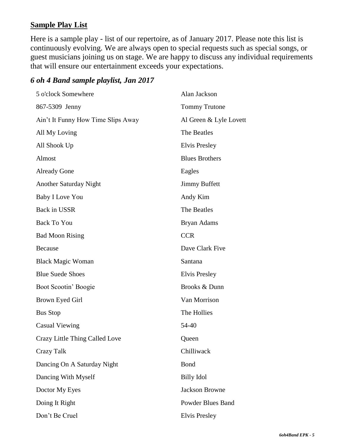### **Sample Play List**

Here is a sample play - list of our repertoire, as of January 2017. Please note this list is continuously evolving. We are always open to special requests such as special songs, or guest musicians joining us on stage. We are happy to discuss any individual requirements that will ensure our entertainment exceeds your expectations.

### *6 oh 4 Band sample playlist, Jan 2017*

| 5 o'clock Somewhere                | Alan Jackson             |
|------------------------------------|--------------------------|
| 867-5309 Jenny                     | <b>Tommy Trutone</b>     |
| Ain't It Funny How Time Slips Away | Al Green & Lyle Lovett   |
| All My Loving                      | The Beatles              |
| All Shook Up                       | Elvis Presley            |
| Almost                             | <b>Blues Brothers</b>    |
| <b>Already Gone</b>                | Eagles                   |
| Another Saturday Night             | <b>Jimmy Buffett</b>     |
| <b>Baby I Love You</b>             | Andy Kim                 |
| Back in USSR                       | The Beatles              |
| <b>Back To You</b>                 | Bryan Adams              |
| <b>Bad Moon Rising</b>             | <b>CCR</b>               |
| Because                            | Dave Clark Five          |
| <b>Black Magic Woman</b>           | Santana                  |
| <b>Blue Suede Shoes</b>            | Elvis Presley            |
| Boot Scootin' Boogie               | Brooks & Dunn            |
| Brown Eyed Girl                    | Van Morrison             |
| <b>Bus Stop</b>                    | The Hollies              |
| <b>Casual Viewing</b>              | 54-40                    |
| Crazy Little Thing Called Love     | Queen                    |
| Crazy Talk                         | Chilliwack               |
| Dancing On A Saturday Night        | Bond                     |
| Dancing With Myself                | <b>Billy Idol</b>        |
| Doctor My Eyes                     | <b>Jackson Browne</b>    |
| Doing It Right                     | <b>Powder Blues Band</b> |
| Don't Be Cruel                     | <b>Elvis Presley</b>     |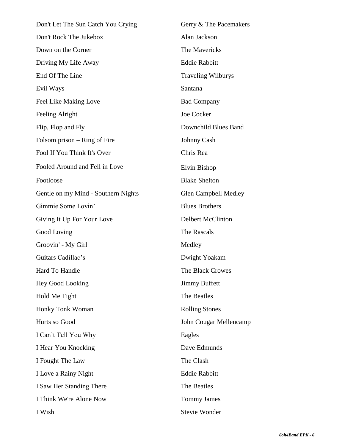Don't Let The Sun Catch You Crying Gerry & The Pacemakers Don't Rock The Jukebox Alan Jackson Down on the Corner The Mavericks Driving My Life Away Eddie Rabbitt End Of The Line Traveling Wilburys Evil Ways Santana Feel Like Making Love Bad Company Feeling Alright Joe Cocker Flip, Flop and Fly Downchild Blues Band Folsom prison – Ring of Fire Johnny Cash Fool If You Think It's Over Chris Rea Fooled Around and Fell in Love Elvin Bishop Footloose Blake Shelton Gentle on my Mind - Southern Nights Glen Campbell Medley Gimmie Some Lovin' Blues Brothers Giving It Up For Your Love Delbert McClinton Good Loving The Rascals Groovin' - My Girl Medley Guitars Cadillac's Dwight Yoakam Hard To Handle The Black Crowes Hey Good Looking Jimmy Buffett Hold Me Tight The Beatles Honky Tonk Woman Rolling Stones Hurts so Good John Cougar Mellencamp I Can't Tell You Why Eagles I Hear You Knocking Dave Edmunds I Fought The Law The Clash I Love a Rainy Night **Eddie Rabbitt** I Saw Her Standing There The Beatles I Think We're Alone Now Tommy James I Wish Stevie Wonder

*6oh4Band EPK - 6*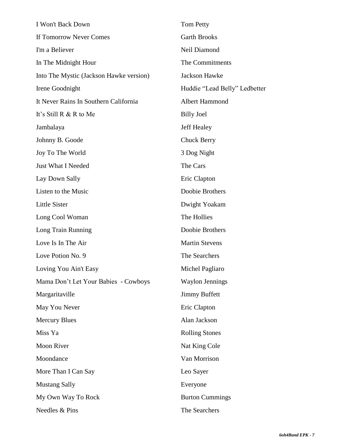| I Won't Back Down                       | Tom Petty                     |
|-----------------------------------------|-------------------------------|
| If Tomorrow Never Comes                 | <b>Garth Brooks</b>           |
| I'm a Believer                          | Neil Diamond                  |
| In The Midnight Hour                    | The Commitments               |
| Into The Mystic (Jackson Hawke version) | <b>Jackson Hawke</b>          |
| Irene Goodnight                         | Huddie "Lead Belly" Ledbetter |
| It Never Rains In Southern California   | Albert Hammond                |
| It's Still R & R to Me                  | <b>Billy Joel</b>             |
| Jambalaya                               | <b>Jeff Healey</b>            |
| Johnny B. Goode                         | <b>Chuck Berry</b>            |
| Joy To The World                        | 3 Dog Night                   |
| Just What I Needed                      | The Cars                      |
| Lay Down Sally                          | Eric Clapton                  |
| Listen to the Music                     | Doobie Brothers               |
| <b>Little Sister</b>                    | Dwight Yoakam                 |
| Long Cool Woman                         | The Hollies                   |
| Long Train Running                      | Doobie Brothers               |
| Love Is In The Air                      | <b>Martin Stevens</b>         |
| Love Potion No. 9                       | The Searchers                 |
| Loving You Ain't Easy                   | Michel Pagliaro               |
| Mama Don't Let Your Babies - Cowboys    | <b>Waylon Jennings</b>        |
| Margaritaville                          | <b>Jimmy Buffett</b>          |
| May You Never                           | Eric Clapton                  |
| <b>Mercury Blues</b>                    | Alan Jackson                  |
| Miss Ya                                 | <b>Rolling Stones</b>         |
| Moon River                              | Nat King Cole                 |
| Moondance                               | Van Morrison                  |
| More Than I Can Say                     | Leo Sayer                     |
| <b>Mustang Sally</b>                    | Everyone                      |
| My Own Way To Rock                      | <b>Burton Cummings</b>        |
| Needles & Pins                          | The Searchers                 |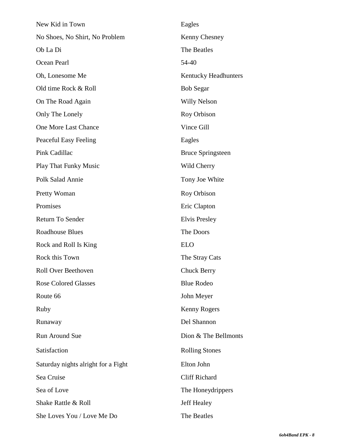| New Kid in Town                     | Eagles                   |
|-------------------------------------|--------------------------|
| No Shoes, No Shirt, No Problem      | Kenny Chesney            |
| Ob La Di                            | The Beatles              |
| Ocean Pearl                         | 54-40                    |
| Oh, Lonesome Me                     | Kentucky Headhunters     |
| Old time Rock & Roll                | <b>Bob Segar</b>         |
| On The Road Again                   | Willy Nelson             |
| Only The Lonely                     | Roy Orbison              |
| One More Last Chance                | Vince Gill               |
| Peaceful Easy Feeling               | Eagles                   |
| Pink Cadillac                       | <b>Bruce Springsteen</b> |
| <b>Play That Funky Music</b>        | Wild Cherry              |
| Polk Salad Annie                    | Tony Joe White           |
| Pretty Woman                        | Roy Orbison              |
| Promises                            | Eric Clapton             |
| Return To Sender                    | Elvis Presley            |
| <b>Roadhouse Blues</b>              | The Doors                |
| Rock and Roll Is King               | <b>ELO</b>               |
| Rock this Town                      | The Stray Cats           |
| Roll Over Beethoven                 | <b>Chuck Berry</b>       |
| <b>Rose Colored Glasses</b>         | <b>Blue Rodeo</b>        |
| Route 66                            | John Meyer               |
| Ruby                                | Kenny Rogers             |
| Runaway                             | Del Shannon              |
| <b>Run Around Sue</b>               | Dion & The Bellmonts     |
| Satisfaction                        | <b>Rolling Stones</b>    |
| Saturday nights alright for a Fight | Elton John               |
| Sea Cruise                          | <b>Cliff Richard</b>     |
| Sea of Love                         | The Honeydrippers        |
| Shake Rattle & Roll                 | <b>Jeff Healey</b>       |
| She Loves You / Love Me Do          | The Beatles              |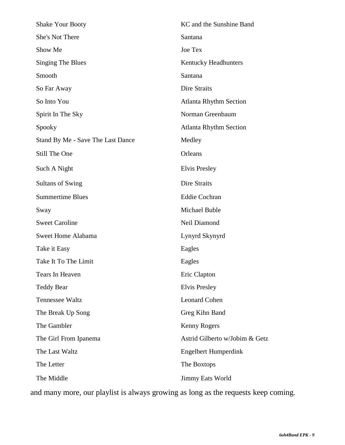| <b>Shake Your Booty</b>           | KC and the Sunshine Band       |
|-----------------------------------|--------------------------------|
| She's Not There                   | Santana                        |
| Show Me                           | Joe Tex                        |
| <b>Singing The Blues</b>          | Kentucky Headhunters           |
| Smooth                            | Santana                        |
| So Far Away                       | Dire Straits                   |
| So Into You                       | <b>Atlanta Rhythm Section</b>  |
| Spirit In The Sky                 | Norman Greenbaum               |
| Spooky                            | <b>Atlanta Rhythm Section</b>  |
| Stand By Me - Save The Last Dance | Medley                         |
| Still The One                     | Orleans                        |
| Such A Night                      | Elvis Presley                  |
| <b>Sultans of Swing</b>           | Dire Straits                   |
| <b>Summertime Blues</b>           | <b>Eddie Cochran</b>           |
| Sway                              | Michael Buble                  |
| <b>Sweet Caroline</b>             | Neil Diamond                   |
| Sweet Home Alabama                | Lynyrd Skynyrd                 |
| Take it Easy                      | Eagles                         |
| Take It To The Limit              | Eagles                         |
| Tears In Heaven                   | Eric Clapton                   |
| <b>Teddy Bear</b>                 | <b>Elvis Presley</b>           |
| <b>Tennessee Waltz</b>            | <b>Leonard Cohen</b>           |
| The Break Up Song                 | Greg Kihn Band                 |
| The Gambler                       | Kenny Rogers                   |
| The Girl From Ipanema             | Astrid Gilberto w/Jobim & Getz |
| The Last Waltz                    | <b>Engelbert Humperdink</b>    |
| The Letter                        | The Boxtops                    |
| The Middle                        | Jimmy Eats World               |

and many more, our playlist is always growing as long as the requests keep coming.